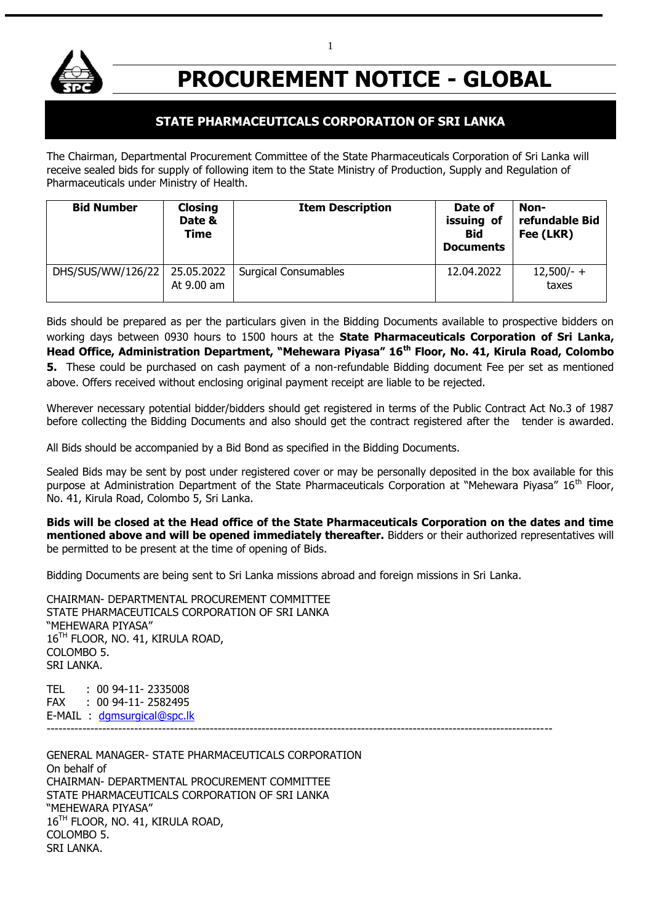

# **PROCUREMENT NOTICE - GLOBAL**

# **STATE PHARMACEUTICALS CORPORATION OF SRI LANKA**

The Chairman, Departmental Procurement Committee of the State Pharmaceuticals Corporation of Sri Lanka will receive sealed bids for supply of following item to the State Ministry of Production, Supply and Regulation of Pharmaceuticals under Ministry of Health.

| <b>Bid Number</b> | <b>Closing</b><br>Date &<br><b>Time</b> | <b>Item Description</b>     | Date of<br>issuing of<br><b>Bid</b><br><b>Documents</b> | Non-<br>refundable Bid<br>Fee (LKR) |
|-------------------|-----------------------------------------|-----------------------------|---------------------------------------------------------|-------------------------------------|
| DHS/SUS/WW/126/22 | 25.05.2022<br>At 9.00 am                | <b>Surgical Consumables</b> | 12.04.2022                                              | $12,500/- +$<br>taxes               |

Bids should be prepared as per the particulars given in the Bidding Documents available to prospective bidders on working days between 0930 hours to 1500 hours at the **State Pharmaceuticals Corporation of Sri Lanka, Head Office, Administration Department, "Mehewara Piyasa" 16th Floor, No. 41, Kirula Road, Colombo 5.** These could be purchased on cash payment of a non-refundable Bidding document Fee per set as mentioned above. Offers received without enclosing original payment receipt are liable to be rejected.

Wherever necessary potential bidder/bidders should get registered in terms of the Public Contract Act No.3 of 1987 before collecting the Bidding Documents and also should get the contract registered after the tender is awarded.

All Bids should be accompanied by a Bid Bond as specified in the Bidding Documents.

Sealed Bids may be sent by post under registered cover or may be personally deposited in the box available for this purpose at Administration Department of the State Pharmaceuticals Corporation at "Mehewara Piyasa" 16<sup>th</sup> Floor, No. 41, Kirula Road, Colombo 5, Sri Lanka.

**Bids will be closed at the Head office of the State Pharmaceuticals Corporation on the dates and time mentioned above and will be opened immediately thereafter.** Bidders or their authorized representatives will be permitted to be present at the time of opening of Bids.

Bidding Documents are being sent to Sri Lanka missions abroad and foreign missions in Sri Lanka.

CHAIRMAN- DEPARTMENTAL PROCUREMENT COMMITTEE STATE PHARMACEUTICALS CORPORATION OF SRI LANKA "MEHEWARA PIYASA" 16<sup>TH</sup> FLOOR, NO. 41, KIRULA ROAD, COLOMBO 5. SRI LANKA.

TEL : 00 94-11- 2335008 FAX : 00 94-11- 2582495 E-MAIL : [dgmsurgical@spc.lk](mailto:dgmsurgical@spc.lk) -------------------------------------------------------------------------------------------------------------------------------

GENERAL MANAGER- STATE PHARMACEUTICALS CORPORATION On behalf of CHAIRMAN- DEPARTMENTAL PROCUREMENT COMMITTEE STATE PHARMACEUTICALS CORPORATION OF SRI LANKA "MEHEWARA PIYASA" 16TH FLOOR, NO. 41, KIRULA ROAD, COLOMBO 5. SRI LANKA.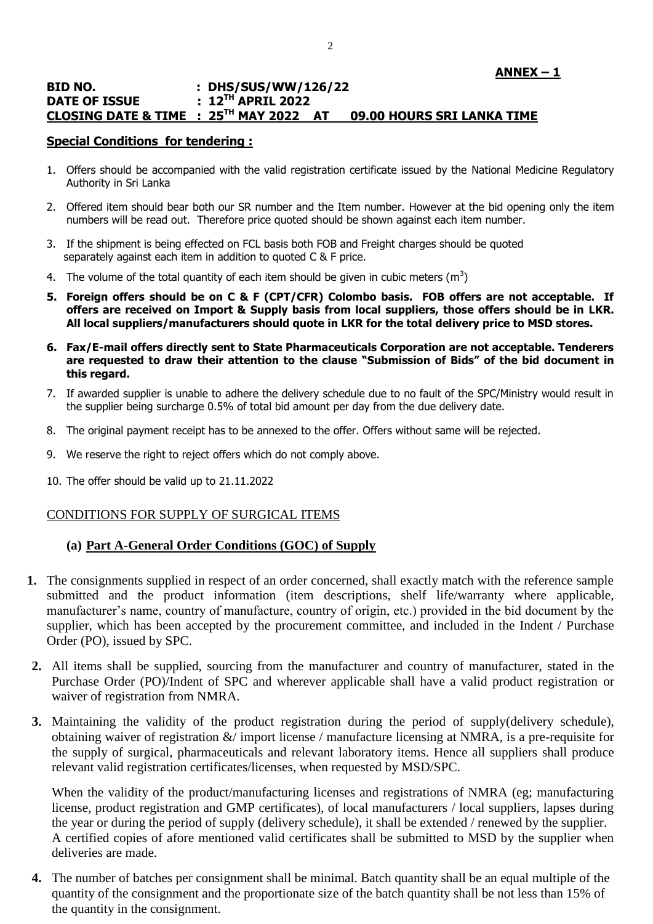### **ANNEX – 1**

#### **BID NO. : DHS/SUS/WW/126/22 DATE OF ISSUE : 12TH APRIL 2022 CLOSING DATE & TIME : 25TH MAY 2022 AT 09.00 HOURS SRI LANKA TIME**

### **Special Conditions for tendering :**

- 1. Offers should be accompanied with the valid registration certificate issued by the National Medicine Regulatory Authority in Sri Lanka
- 2. Offered item should bear both our SR number and the Item number. However at the bid opening only the item numbers will be read out. Therefore price quoted should be shown against each item number.
- 3. If the shipment is being effected on FCL basis both FOB and Freight charges should be quoted separately against each item in addition to quoted C & F price.
- 4. The volume of the total quantity of each item should be given in cubic meters (m<sup>3</sup>)
- **5. Foreign offers should be on C & F (CPT/CFR) Colombo basis. FOB offers are not acceptable. If offers are received on Import & Supply basis from local suppliers, those offers should be in LKR. All local suppliers/manufacturers should quote in LKR for the total delivery price to MSD stores.**
- **6. Fax/E-mail offers directly sent to State Pharmaceuticals Corporation are not acceptable. Tenderers are requested to draw their attention to the clause "Submission of Bids" of the bid document in this regard.**
- 7. If awarded supplier is unable to adhere the delivery schedule due to no fault of the SPC/Ministry would result in the supplier being surcharge 0.5% of total bid amount per day from the due delivery date.
- 8. The original payment receipt has to be annexed to the offer. Offers without same will be rejected.
- 9. We reserve the right to reject offers which do not comply above.
- 10. The offer should be valid up to 21.11.2022

### CONDITIONS FOR SUPPLY OF SURGICAL ITEMS

### **(a) Part A-General Order Conditions (GOC) of Supply**

- **1.** The consignments supplied in respect of an order concerned, shall exactly match with the reference sample submitted and the product information (item descriptions, shelf life/warranty where applicable, manufacturer's name, country of manufacture, country of origin, etc.) provided in the bid document by the supplier, which has been accepted by the procurement committee, and included in the Indent / Purchase Order (PO), issued by SPC.
- **2.** All items shall be supplied, sourcing from the manufacturer and country of manufacturer, stated in the Purchase Order (PO)/Indent of SPC and wherever applicable shall have a valid product registration or waiver of registration from NMRA.
- **3.** Maintaining the validity of the product registration during the period of supply(delivery schedule), obtaining waiver of registration  $\&/$  import license / manufacture licensing at NMRA, is a pre-requisite for the supply of surgical, pharmaceuticals and relevant laboratory items. Hence all suppliers shall produce relevant valid registration certificates/licenses, when requested by MSD/SPC.

When the validity of the product/manufacturing licenses and registrations of NMRA (eg; manufacturing license, product registration and GMP certificates), of local manufacturers / local suppliers, lapses during the year or during the period of supply (delivery schedule), it shall be extended / renewed by the supplier. A certified copies of afore mentioned valid certificates shall be submitted to MSD by the supplier when deliveries are made.

**4.** The number of batches per consignment shall be minimal. Batch quantity shall be an equal multiple of the quantity of the consignment and the proportionate size of the batch quantity shall be not less than 15% of the quantity in the consignment.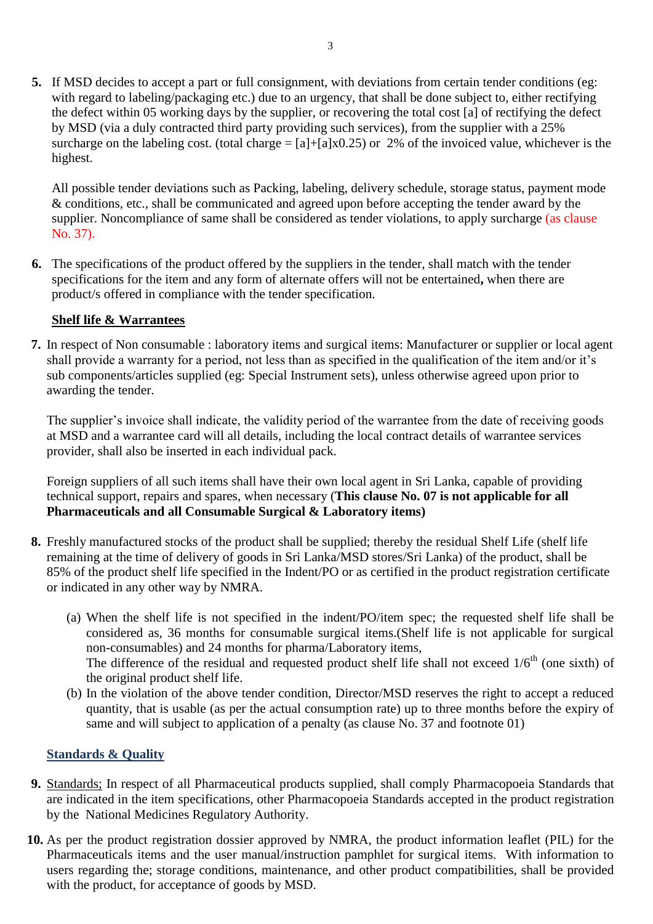**5.** If MSD decides to accept a part or full consignment, with deviations from certain tender conditions (eg: with regard to labeling/packaging etc.) due to an urgency, that shall be done subject to, either rectifying the defect within 05 working days by the supplier, or recovering the total cost [a] of rectifying the defect by MSD (via a duly contracted third party providing such services), from the supplier with a 25% surcharge on the labeling cost. (total charge  $= [a] + [a] \times 0.25$ ) or 2% of the invoiced value, whichever is the highest.

All possible tender deviations such as Packing, labeling, delivery schedule, storage status, payment mode & conditions, etc., shall be communicated and agreed upon before accepting the tender award by the supplier. Noncompliance of same shall be considered as tender violations, to apply surcharge (as clause No. 37).

**6.** The specifications of the product offered by the suppliers in the tender, shall match with the tender specifications for the item and any form of alternate offers will not be entertained**,** when there are product/s offered in compliance with the tender specification.

# **Shelf life & Warrantees**

**7.** In respect of Non consumable : laboratory items and surgical items: Manufacturer or supplier or local agent shall provide a warranty for a period, not less than as specified in the qualification of the item and/or it's sub components/articles supplied (eg: Special Instrument sets), unless otherwise agreed upon prior to awarding the tender.

The supplier's invoice shall indicate, the validity period of the warrantee from the date of receiving goods at MSD and a warrantee card will all details, including the local contract details of warrantee services provider, shall also be inserted in each individual pack.

Foreign suppliers of all such items shall have their own local agent in Sri Lanka, capable of providing technical support, repairs and spares, when necessary (**This clause No. 07 is not applicable for all Pharmaceuticals and all Consumable Surgical & Laboratory items)**

- **8.** Freshly manufactured stocks of the product shall be supplied; thereby the residual Shelf Life (shelf life remaining at the time of delivery of goods in Sri Lanka/MSD stores/Sri Lanka) of the product, shall be 85% of the product shelf life specified in the Indent/PO or as certified in the product registration certificate or indicated in any other way by NMRA.
	- (a) When the shelf life is not specified in the indent/PO/item spec; the requested shelf life shall be considered as, 36 months for consumable surgical items.(Shelf life is not applicable for surgical non-consumables) and 24 months for pharma/Laboratory items, The difference of the residual and requested product shelf life shall not exceed  $1/6<sup>th</sup>$  (one sixth) of the original product shelf life.
	- (b) In the violation of the above tender condition, Director/MSD reserves the right to accept a reduced quantity, that is usable (as per the actual consumption rate) up to three months before the expiry of same and will subject to application of a penalty (as clause No. 37 and footnote 01)

# **Standards & Quality**

- **9.** Standards; In respect of all Pharmaceutical products supplied, shall comply Pharmacopoeia Standards that are indicated in the item specifications, other Pharmacopoeia Standards accepted in the product registration by the National Medicines Regulatory Authority.
- **10.** As per the product registration dossier approved by NMRA, the product information leaflet (PIL) for the Pharmaceuticals items and the user manual/instruction pamphlet for surgical items. With information to users regarding the; storage conditions, maintenance, and other product compatibilities, shall be provided with the product, for acceptance of goods by MSD.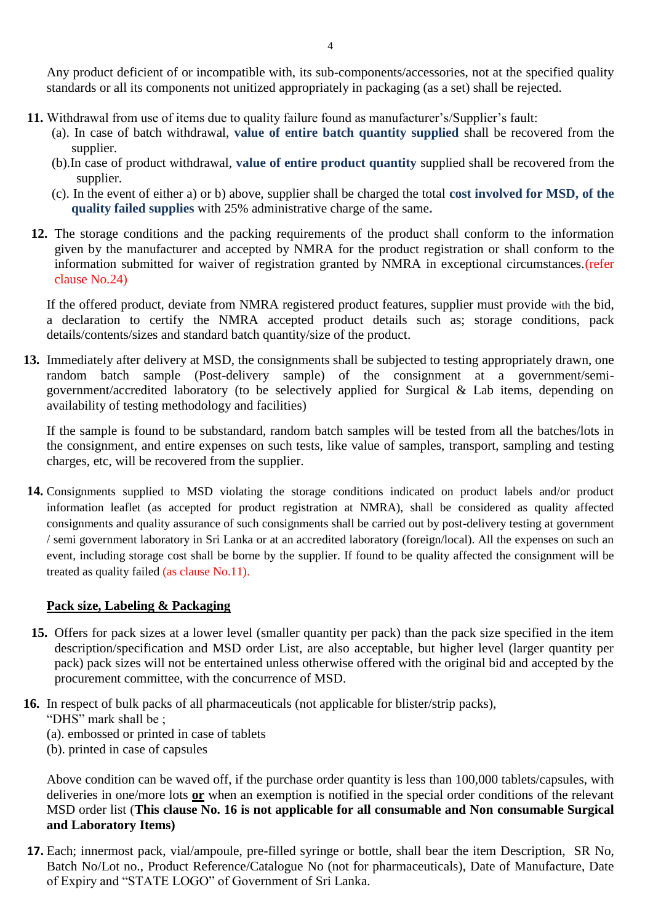Any product deficient of or incompatible with, its sub-components/accessories, not at the specified quality standards or all its components not unitized appropriately in packaging (as a set) shall be rejected.

- **11.** Withdrawal from use of items due to quality failure found as manufacturer's/Supplier's fault:
	- (a). In case of batch withdrawal, **value of entire batch quantity supplied** shall be recovered from the supplier.
	- (b).In case of product withdrawal, **value of entire product quantity** supplied shall be recovered from the supplier.
	- (c). In the event of either a) or b) above, supplier shall be charged the total **cost involved for MSD, of the quality failed supplies** with 25% administrative charge of the same**.**
- **12.** The storage conditions and the packing requirements of the product shall conform to the information given by the manufacturer and accepted by NMRA for the product registration or shall conform to the information submitted for waiver of registration granted by NMRA in exceptional circumstances.(refer clause No.24)

If the offered product, deviate from NMRA registered product features, supplier must provide with the bid, a declaration to certify the NMRA accepted product details such as; storage conditions, pack details/contents/sizes and standard batch quantity/size of the product.

**13.** Immediately after delivery at MSD, the consignments shall be subjected to testing appropriately drawn, one random batch sample (Post-delivery sample) of the consignment at a government/semigovernment/accredited laboratory (to be selectively applied for Surgical & Lab items, depending on availability of testing methodology and facilities)

If the sample is found to be substandard, random batch samples will be tested from all the batches/lots in the consignment, and entire expenses on such tests, like value of samples, transport, sampling and testing charges, etc, will be recovered from the supplier.

**14.** Consignments supplied to MSD violating the storage conditions indicated on product labels and/or product information leaflet (as accepted for product registration at NMRA), shall be considered as quality affected consignments and quality assurance of such consignments shall be carried out by post-delivery testing at government / semi government laboratory in Sri Lanka or at an accredited laboratory (foreign/local). All the expenses on such an event, including storage cost shall be borne by the supplier. If found to be quality affected the consignment will be treated as quality failed (as clause No.11).

# **Pack size, Labeling & Packaging**

- **15.** Offers for pack sizes at a lower level (smaller quantity per pack) than the pack size specified in the item description/specification and MSD order List, are also acceptable, but higher level (larger quantity per pack) pack sizes will not be entertained unless otherwise offered with the original bid and accepted by the procurement committee, with the concurrence of MSD.
- **16.** In respect of bulk packs of all pharmaceuticals (not applicable for blister/strip packs),
	- "DHS" mark shall be ;
	- (a). embossed or printed in case of tablets
	- (b). printed in case of capsules

Above condition can be waved off, if the purchase order quantity is less than 100,000 tablets/capsules, with deliveries in one/more lots **or** when an exemption is notified in the special order conditions of the relevant MSD order list (**This clause No. 16 is not applicable for all consumable and Non consumable Surgical and Laboratory Items)**

**17.** Each; innermost pack, vial/ampoule, pre-filled syringe or bottle, shall bear the item Description, SR No, Batch No/Lot no., Product Reference/Catalogue No (not for pharmaceuticals), Date of Manufacture, Date of Expiry and "STATE LOGO" of Government of Sri Lanka.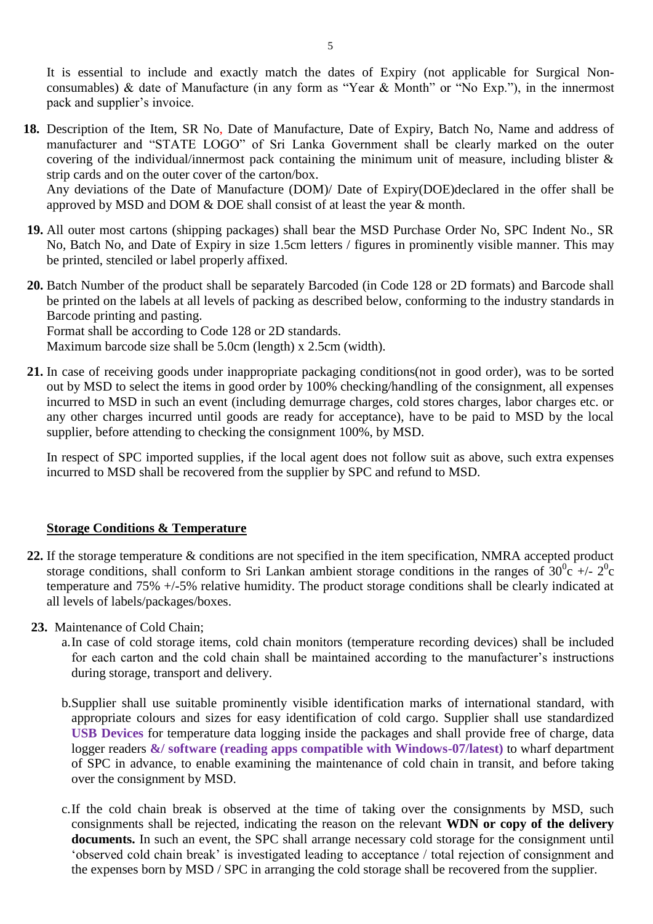It is essential to include and exactly match the dates of Expiry (not applicable for Surgical Nonconsumables) & date of Manufacture (in any form as "Year & Month" or "No Exp."), in the innermost pack and supplier"s invoice.

**18.** Description of the Item, SR No, Date of Manufacture, Date of Expiry, Batch No, Name and address of manufacturer and "STATE LOGO" of Sri Lanka Government shall be clearly marked on the outer covering of the individual/innermost pack containing the minimum unit of measure, including blister & strip cards and on the outer cover of the carton/box. Any deviations of the Date of Manufacture (DOM)/ Date of Expiry(DOE)declared in the offer shall be approved by MSD and DOM & DOE shall consist of at least the year & month.

**19.** All outer most cartons (shipping packages) shall bear the MSD Purchase Order No, SPC Indent No., SR No, Batch No, and Date of Expiry in size 1.5cm letters / figures in prominently visible manner. This may be printed, stenciled or label properly affixed.

**20.** Batch Number of the product shall be separately Barcoded (in Code 128 or 2D formats) and Barcode shall be printed on the labels at all levels of packing as described below, conforming to the industry standards in Barcode printing and pasting.

Format shall be according to Code 128 or 2D standards.

Maximum barcode size shall be 5.0cm (length) x 2.5cm (width).

**21.** In case of receiving goods under inappropriate packaging conditions(not in good order), was to be sorted out by MSD to select the items in good order by 100% checking/handling of the consignment, all expenses incurred to MSD in such an event (including demurrage charges, cold stores charges, labor charges etc. or any other charges incurred until goods are ready for acceptance), have to be paid to MSD by the local supplier, before attending to checking the consignment 100%, by MSD.

In respect of SPC imported supplies, if the local agent does not follow suit as above, such extra expenses incurred to MSD shall be recovered from the supplier by SPC and refund to MSD.

### **Storage Conditions & Temperature**

- **22.** If the storage temperature & conditions are not specified in the item specification, NMRA accepted product storage conditions, shall conform to Sri Lankan ambient storage conditions in the ranges of  $30^0c$  +/-  $2^0c$ temperature and 75% +/-5% relative humidity. The product storage conditions shall be clearly indicated at all levels of labels/packages/boxes.
- **23.** Maintenance of Cold Chain;
	- a.In case of cold storage items, cold chain monitors (temperature recording devices) shall be included for each carton and the cold chain shall be maintained according to the manufacturer's instructions during storage, transport and delivery.
	- b.Supplier shall use suitable prominently visible identification marks of international standard, with appropriate colours and sizes for easy identification of cold cargo. Supplier shall use standardized **USB Devices** for temperature data logging inside the packages and shall provide free of charge, data logger readers **&/ software (reading apps compatible with Windows-07/latest)** to wharf department of SPC in advance, to enable examining the maintenance of cold chain in transit, and before taking over the consignment by MSD.
	- c.If the cold chain break is observed at the time of taking over the consignments by MSD, such consignments shall be rejected, indicating the reason on the relevant **WDN or copy of the delivery documents.** In such an event, the SPC shall arrange necessary cold storage for the consignment until "observed cold chain break" is investigated leading to acceptance / total rejection of consignment and the expenses born by MSD / SPC in arranging the cold storage shall be recovered from the supplier.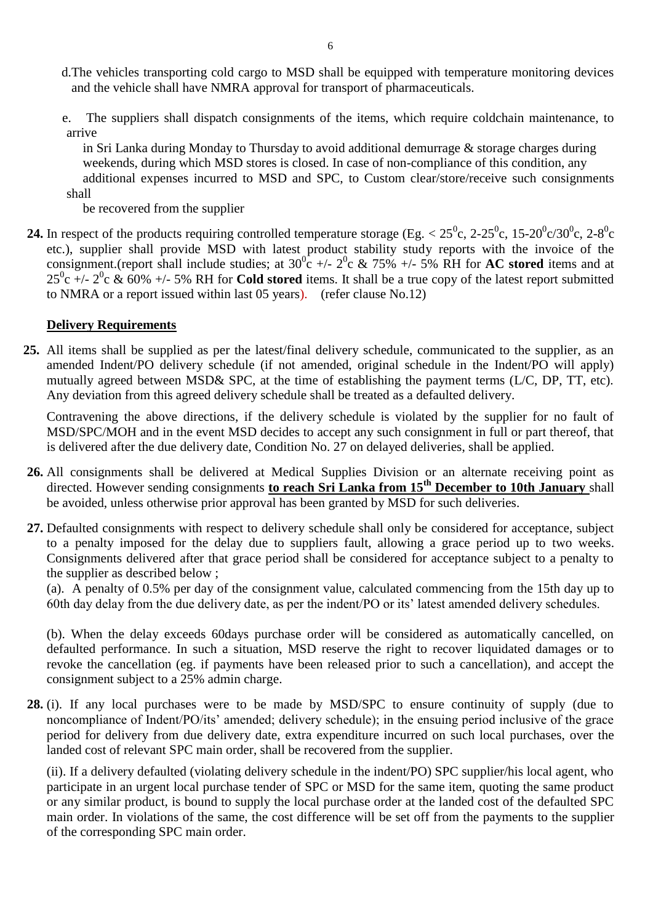- d.The vehicles transporting cold cargo to MSD shall be equipped with temperature monitoring devices and the vehicle shall have NMRA approval for transport of pharmaceuticals.
- e. The suppliers shall dispatch consignments of the items, which require coldchain maintenance, to arrive

 in Sri Lanka during Monday to Thursday to avoid additional demurrage & storage charges during weekends, during which MSD stores is closed. In case of non-compliance of this condition, any additional expenses incurred to MSD and SPC, to Custom clear/store/receive such consignments shall

be recovered from the supplier

**24.** In respect of the products requiring controlled temperature storage (Eg.  $< 25^{\circ}$ c, 2-25<sup>o</sup>c, 15-20<sup>o</sup>c/30<sup>o</sup>c, 2-8<sup>o</sup>c etc.), supplier shall provide MSD with latest product stability study reports with the invoice of the consignment.(report shall include studies; at  $30^{\circ}$  +/-  $2^{\circ}$  &  $75\%$  +/- 5% RH for **AC stored** items and at  $25^0c$  +/-  $2^0c$  & 60% +/- 5% RH for **Cold stored** items. It shall be a true copy of the latest report submitted to NMRA or a report issued within last 05 years). (refer clause No.12)

### **Delivery Requirements**

**25.** All items shall be supplied as per the latest/final delivery schedule, communicated to the supplier, as an amended Indent/PO delivery schedule (if not amended, original schedule in the Indent/PO will apply) mutually agreed between MSD& SPC, at the time of establishing the payment terms (L/C, DP, TT, etc). Any deviation from this agreed delivery schedule shall be treated as a defaulted delivery.

Contravening the above directions, if the delivery schedule is violated by the supplier for no fault of MSD/SPC/MOH and in the event MSD decides to accept any such consignment in full or part thereof, that is delivered after the due delivery date, Condition No. 27 on delayed deliveries, shall be applied.

- **26.** All consignments shall be delivered at Medical Supplies Division or an alternate receiving point as directed. However sending consignments **to reach Sri Lanka from 15th December to 10th January** shall be avoided, unless otherwise prior approval has been granted by MSD for such deliveries.
- **27.** Defaulted consignments with respect to delivery schedule shall only be considered for acceptance, subject to a penalty imposed for the delay due to suppliers fault, allowing a grace period up to two weeks. Consignments delivered after that grace period shall be considered for acceptance subject to a penalty to the supplier as described below ;

(a). A penalty of 0.5% per day of the consignment value, calculated commencing from the 15th day up to 60th day delay from the due delivery date, as per the indent/PO or its" latest amended delivery schedules.

(b). When the delay exceeds 60days purchase order will be considered as automatically cancelled, on defaulted performance. In such a situation, MSD reserve the right to recover liquidated damages or to revoke the cancellation (eg. if payments have been released prior to such a cancellation), and accept the consignment subject to a 25% admin charge.

**28.** (i). If any local purchases were to be made by MSD/SPC to ensure continuity of supply (due to noncompliance of Indent/PO/its' amended; delivery schedule); in the ensuing period inclusive of the grace period for delivery from due delivery date, extra expenditure incurred on such local purchases, over the landed cost of relevant SPC main order, shall be recovered from the supplier.

(ii). If a delivery defaulted (violating delivery schedule in the indent/PO) SPC supplier/his local agent, who participate in an urgent local purchase tender of SPC or MSD for the same item, quoting the same product or any similar product, is bound to supply the local purchase order at the landed cost of the defaulted SPC main order. In violations of the same, the cost difference will be set off from the payments to the supplier of the corresponding SPC main order.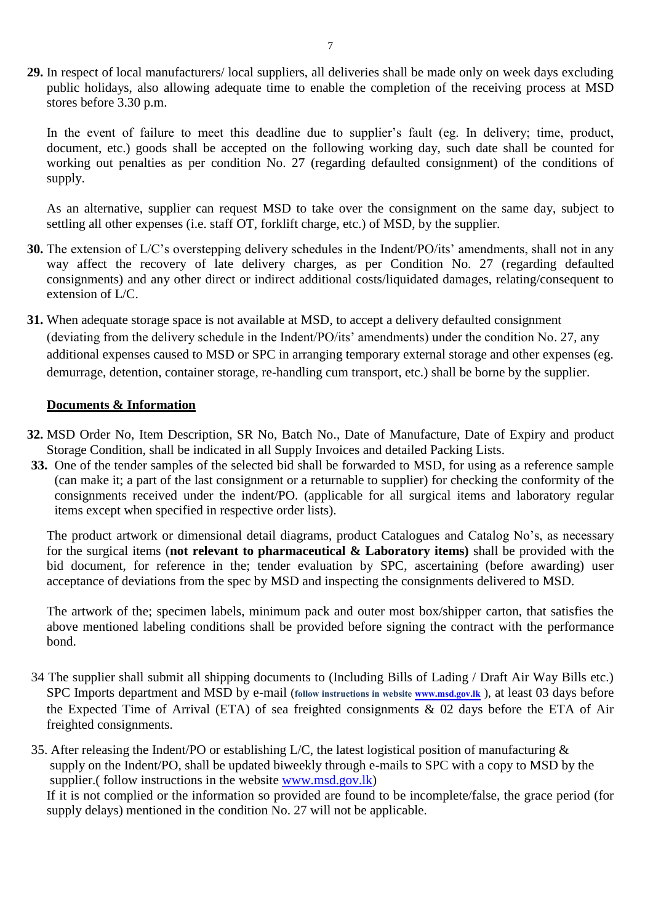**29.** In respect of local manufacturers/ local suppliers, all deliveries shall be made only on week days excluding public holidays, also allowing adequate time to enable the completion of the receiving process at MSD stores before 3.30 p.m.

In the event of failure to meet this deadline due to supplier's fault (eg. In delivery; time, product, document, etc.) goods shall be accepted on the following working day, such date shall be counted for working out penalties as per condition No. 27 (regarding defaulted consignment) of the conditions of supply.

As an alternative, supplier can request MSD to take over the consignment on the same day, subject to settling all other expenses (i.e. staff OT, forklift charge, etc.) of MSD, by the supplier.

- **30.** The extension of L/C's overstepping delivery schedules in the Indent/PO/its' amendments, shall not in any way affect the recovery of late delivery charges, as per Condition No. 27 (regarding defaulted consignments) and any other direct or indirect additional costs/liquidated damages, relating/consequent to extension of L/C.
- **31.** When adequate storage space is not available at MSD, to accept a delivery defaulted consignment (deviating from the delivery schedule in the Indent/PO/its" amendments) under the condition No. 27, any additional expenses caused to MSD or SPC in arranging temporary external storage and other expenses (eg. demurrage, detention, container storage, re-handling cum transport, etc.) shall be borne by the supplier.

#### **Documents & Information**

- **32.** MSD Order No, Item Description, SR No, Batch No., Date of Manufacture, Date of Expiry and product Storage Condition, shall be indicated in all Supply Invoices and detailed Packing Lists.
- **33.** One of the tender samples of the selected bid shall be forwarded to MSD, for using as a reference sample (can make it; a part of the last consignment or a returnable to supplier) for checking the conformity of the consignments received under the indent/PO. (applicable for all surgical items and laboratory regular items except when specified in respective order lists).

The product artwork or dimensional detail diagrams, product Catalogues and Catalog No"s, as necessary for the surgical items (**not relevant to pharmaceutical & Laboratory items)** shall be provided with the bid document, for reference in the; tender evaluation by SPC, ascertaining (before awarding) user acceptance of deviations from the spec by MSD and inspecting the consignments delivered to MSD.

The artwork of the; specimen labels, minimum pack and outer most box/shipper carton, that satisfies the above mentioned labeling conditions shall be provided before signing the contract with the performance bond.

- 34 The supplier shall submit all shipping documents to (Including Bills of Lading / Draft Air Way Bills etc.) SPC Imports department and MSD by e-mail (follow instructions in website [www.msd.gov.lk](http://www.msd.gov.lk/)), at least 03 days before the Expected Time of Arrival (ETA) of sea freighted consignments & 02 days before the ETA of Air freighted consignments.
- 35. After releasing the Indent/PO or establishing L/C, the latest logistical position of manufacturing & supply on the Indent/PO, shall be updated biweekly through e-mails to SPC with a copy to MSD by the supplier.( follow instructions in the website [www.msd.gov.lk\)](http://www.msd.gov.lk/)

If it is not complied or the information so provided are found to be incomplete/false, the grace period (for supply delays) mentioned in the condition No. 27 will not be applicable.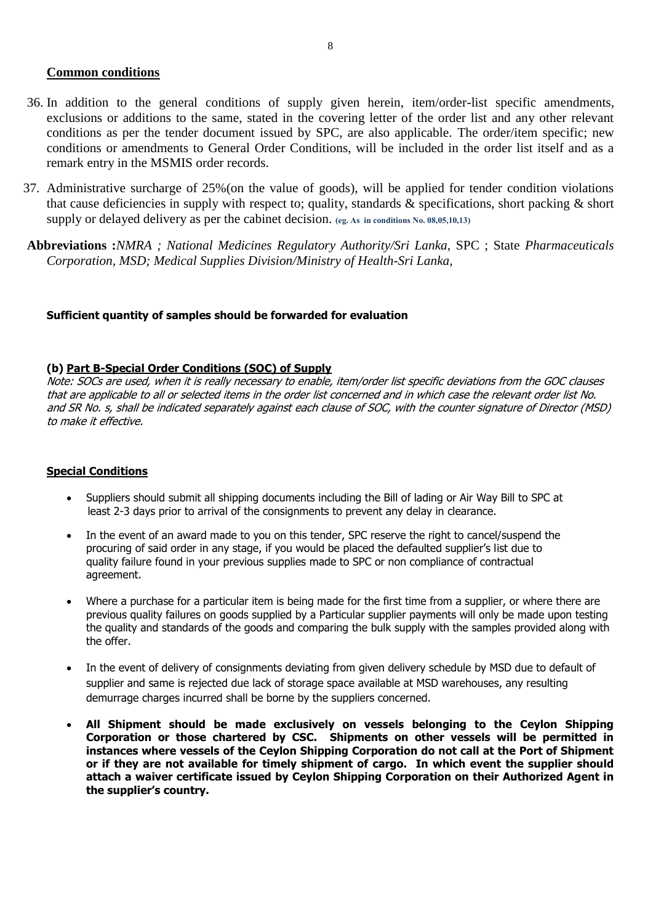#### **Common conditions**

- 36. In addition to the general conditions of supply given herein, item/order-list specific amendments, exclusions or additions to the same, stated in the covering letter of the order list and any other relevant conditions as per the tender document issued by SPC, are also applicable. The order/item specific; new conditions or amendments to General Order Conditions, will be included in the order list itself and as a remark entry in the MSMIS order records.
- 37. Administrative surcharge of 25%(on the value of goods), will be applied for tender condition violations that cause deficiencies in supply with respect to; quality, standards & specifications, short packing & short supply or delayed delivery as per the cabinet decision. **(eg. As in conditions No. 08,05,10,13)**
- **Abbreviations :***NMRA ; National Medicines Regulatory Authority/Sri Lanka,* SPC ; State *Pharmaceuticals Corporation, MSD; Medical Supplies Division/Ministry of Health-Sri Lanka,*

#### **Sufficient quantity of samples should be forwarded for evaluation**

#### **(b) Part B-Special Order Conditions (SOC) of Supply**

Note: SOCs are used, when it is really necessary to enable, item/order list specific deviations from the GOC clauses that are applicable to all or selected items in the order list concerned and in which case the relevant order list No. and SR No. s, shall be indicated separately against each clause of SOC, with the counter signature of Director (MSD) to make it effective.

#### **Special Conditions**

- Suppliers should submit all shipping documents including the Bill of lading or Air Way Bill to SPC at least 2-3 days prior to arrival of the consignments to prevent any delay in clearance.
- In the event of an award made to you on this tender, SPC reserve the right to cancel/suspend the procuring of said order in any stage, if you would be placed the defaulted supplier's list due to quality failure found in your previous supplies made to SPC or non compliance of contractual agreement.
- Where a purchase for a particular item is being made for the first time from a supplier, or where there are previous quality failures on goods supplied by a Particular supplier payments will only be made upon testing the quality and standards of the goods and comparing the bulk supply with the samples provided along with the offer.
- In the event of delivery of consignments deviating from given delivery schedule by MSD due to default of supplier and same is rejected due lack of storage space available at MSD warehouses, any resulting demurrage charges incurred shall be borne by the suppliers concerned.
- **All Shipment should be made exclusively on vessels belonging to the Ceylon Shipping Corporation or those chartered by CSC. Shipments on other vessels will be permitted in instances where vessels of the Ceylon Shipping Corporation do not call at the Port of Shipment or if they are not available for timely shipment of cargo. In which event the supplier should attach a waiver certificate issued by Ceylon Shipping Corporation on their Authorized Agent in the supplier's country.**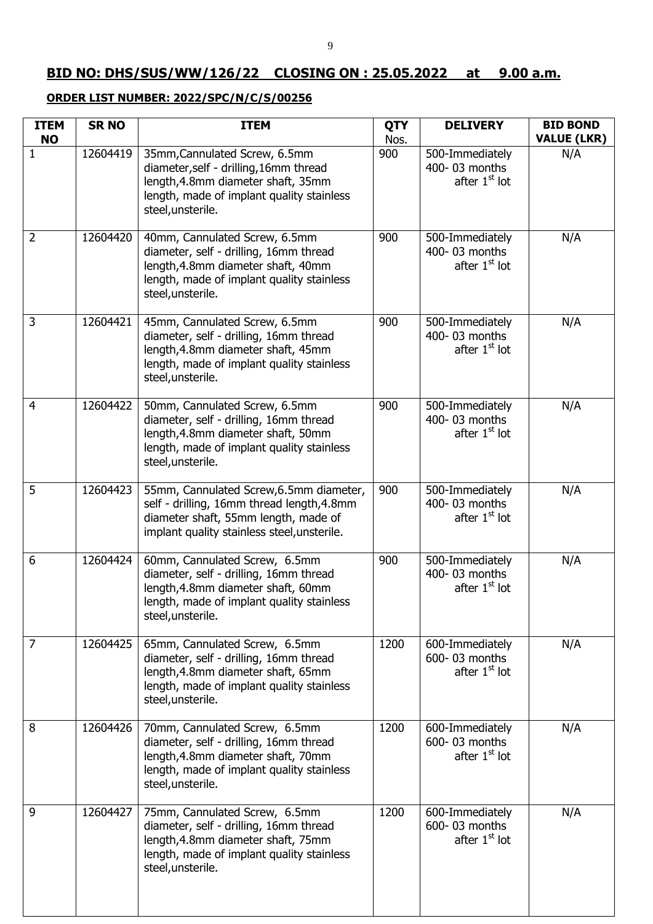# **BID NO: DHS/SUS/WW/126/22 CLOSING ON : 25.05.2022 at 9.00 a.m.**

# **ORDER LIST NUMBER: 2022/SPC/N/C/S/00256**

| <b>ITEM</b><br><b>NO</b> | <b>SR NO</b> | <b>ITEM</b>                                                                                                                                                                     | <b>QTY</b><br>Nos. | <b>DELIVERY</b>                                               | <b>BID BOND</b><br><b>VALUE (LKR)</b> |
|--------------------------|--------------|---------------------------------------------------------------------------------------------------------------------------------------------------------------------------------|--------------------|---------------------------------------------------------------|---------------------------------------|
| 1                        | 12604419     | 35mm, Cannulated Screw, 6.5mm<br>diameter, self - drilling, 16mm thread<br>length, 4.8mm diameter shaft, 35mm<br>length, made of implant quality stainless<br>steel, unsterile. | 900                | 500-Immediately<br>400-03 months<br>after 1 <sup>st</sup> lot | N/A                                   |
| $\overline{2}$           | 12604420     | 40mm, Cannulated Screw, 6.5mm<br>diameter, self - drilling, 16mm thread<br>length, 4.8mm diameter shaft, 40mm<br>length, made of implant quality stainless<br>steel, unsterile. | 900                | 500-Immediately<br>400-03 months<br>after $1st$ lot           | N/A                                   |
| 3                        | 12604421     | 45mm, Cannulated Screw, 6.5mm<br>diameter, self - drilling, 16mm thread<br>length, 4.8mm diameter shaft, 45mm<br>length, made of implant quality stainless<br>steel, unsterile. | 900                | 500-Immediately<br>400-03 months<br>after 1 <sup>st</sup> lot | N/A                                   |
| $\overline{4}$           | 12604422     | 50mm, Cannulated Screw, 6.5mm<br>diameter, self - drilling, 16mm thread<br>length, 4.8mm diameter shaft, 50mm<br>length, made of implant quality stainless<br>steel, unsterile. | 900                | 500-Immediately<br>400-03 months<br>after 1 <sup>st</sup> lot | N/A                                   |
| 5                        | 12604423     | 55mm, Cannulated Screw, 6.5mm diameter,<br>self - drilling, 16mm thread length, 4.8mm<br>diameter shaft, 55mm length, made of<br>implant quality stainless steel, unsterile.    | 900                | 500-Immediately<br>400-03 months<br>after 1 <sup>st</sup> lot | N/A                                   |
| $\boldsymbol{6}$         | 12604424     | 60mm, Cannulated Screw, 6.5mm<br>diameter, self - drilling, 16mm thread<br>length, 4.8mm diameter shaft, 60mm<br>length, made of implant quality stainless<br>steel, unsterile. | 900                | 500-Immediately<br>400-03 months<br>after 1 <sup>st</sup> lot | N/A                                   |
| $\overline{7}$           | 12604425     | 65mm, Cannulated Screw, 6.5mm<br>diameter, self - drilling, 16mm thread<br>length, 4.8mm diameter shaft, 65mm<br>length, made of implant quality stainless<br>steel, unsterile. | 1200               | 600-Immediately<br>600-03 months<br>after 1 <sup>st</sup> lot | N/A                                   |
| 8                        | 12604426     | 70mm, Cannulated Screw, 6.5mm<br>diameter, self - drilling, 16mm thread<br>length, 4.8mm diameter shaft, 70mm<br>length, made of implant quality stainless<br>steel, unsterile. | 1200               | 600-Immediately<br>600-03 months<br>after 1 <sup>st</sup> lot | N/A                                   |
| 9                        | 12604427     | 75mm, Cannulated Screw, 6.5mm<br>diameter, self - drilling, 16mm thread<br>length, 4.8mm diameter shaft, 75mm<br>length, made of implant quality stainless<br>steel, unsterile. | 1200               | 600-Immediately<br>600-03 months<br>after 1 <sup>st</sup> lot | N/A                                   |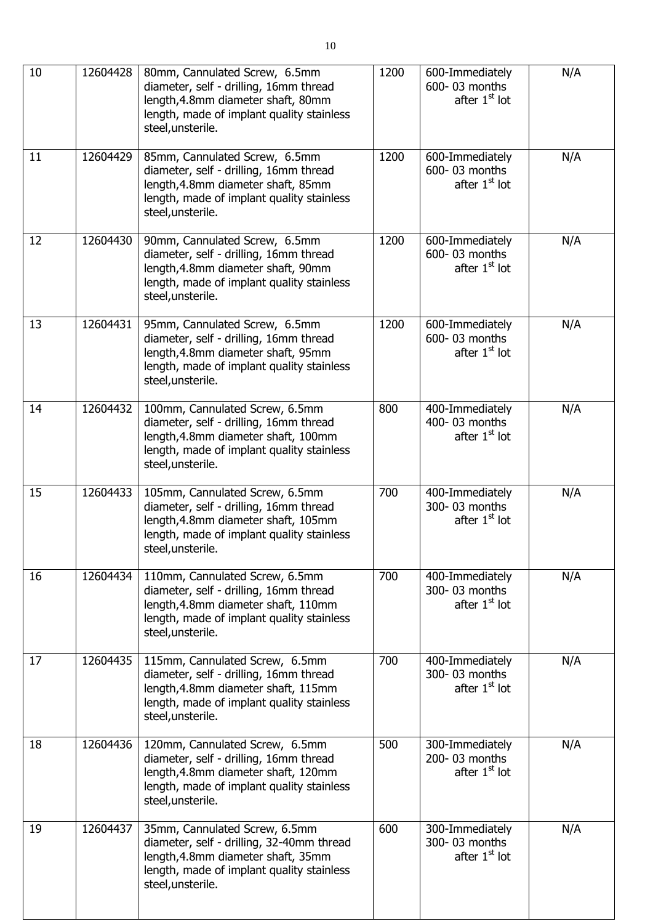| 10 | 12604428 | 80mm, Cannulated Screw, 6.5mm<br>diameter, self - drilling, 16mm thread<br>length, 4.8mm diameter shaft, 80mm<br>length, made of implant quality stainless<br>steel, unsterile.    | 1200 | 600-Immediately<br>600-03 months<br>after 1 <sup>st</sup> lot | N/A |
|----|----------|------------------------------------------------------------------------------------------------------------------------------------------------------------------------------------|------|---------------------------------------------------------------|-----|
| 11 | 12604429 | 85mm, Cannulated Screw, 6.5mm<br>diameter, self - drilling, 16mm thread<br>length, 4.8mm diameter shaft, 85mm<br>length, made of implant quality stainless<br>steel, unsterile.    | 1200 | 600-Immediately<br>600-03 months<br>after 1 <sup>st</sup> lot | N/A |
| 12 | 12604430 | 90mm, Cannulated Screw, 6.5mm<br>diameter, self - drilling, 16mm thread<br>length, 4.8mm diameter shaft, 90mm<br>length, made of implant quality stainless<br>steel, unsterile.    | 1200 | 600-Immediately<br>600-03 months<br>after 1 <sup>st</sup> lot | N/A |
| 13 | 12604431 | 95mm, Cannulated Screw, 6.5mm<br>diameter, self - drilling, 16mm thread<br>length, 4.8mm diameter shaft, 95mm<br>length, made of implant quality stainless<br>steel, unsterile.    | 1200 | 600-Immediately<br>600-03 months<br>after $1st$ lot           | N/A |
| 14 | 12604432 | 100mm, Cannulated Screw, 6.5mm<br>diameter, self - drilling, 16mm thread<br>length, 4.8mm diameter shaft, 100mm<br>length, made of implant quality stainless<br>steel, unsterile.  | 800  | 400-Immediately<br>400-03 months<br>after 1 <sup>st</sup> lot | N/A |
| 15 | 12604433 | 105mm, Cannulated Screw, 6.5mm<br>diameter, self - drilling, 16mm thread<br>length, 4.8mm diameter shaft, 105mm<br>length, made of implant quality stainless<br>steel, unsterile.  | 700  | 400-Immediately<br>300-03 months<br>after 1 <sup>st</sup> lot | N/A |
| 16 | 12604434 | 110mm, Cannulated Screw, 6.5mm<br>diameter, self - drilling, 16mm thread<br>length, 4.8mm diameter shaft, 110mm<br>length, made of implant quality stainless<br>steel, unsterile.  | 700  | 400-Immediately<br>300-03 months<br>after 1 <sup>st</sup> lot | N/A |
| 17 | 12604435 | 115mm, Cannulated Screw, 6.5mm<br>diameter, self - drilling, 16mm thread<br>length, 4.8mm diameter shaft, 115mm<br>length, made of implant quality stainless<br>steel, unsterile.  | 700  | 400-Immediately<br>300-03 months<br>after $1st$ lot           | N/A |
| 18 | 12604436 | 120mm, Cannulated Screw, 6.5mm<br>diameter, self - drilling, 16mm thread<br>length, 4.8mm diameter shaft, 120mm<br>length, made of implant quality stainless<br>steel, unsterile.  | 500  | 300-Immediately<br>200-03 months<br>after 1 <sup>st</sup> lot | N/A |
| 19 | 12604437 | 35mm, Cannulated Screw, 6.5mm<br>diameter, self - drilling, 32-40mm thread<br>length, 4.8mm diameter shaft, 35mm<br>length, made of implant quality stainless<br>steel, unsterile. | 600  | 300-Immediately<br>300-03 months<br>after 1 <sup>st</sup> lot | N/A |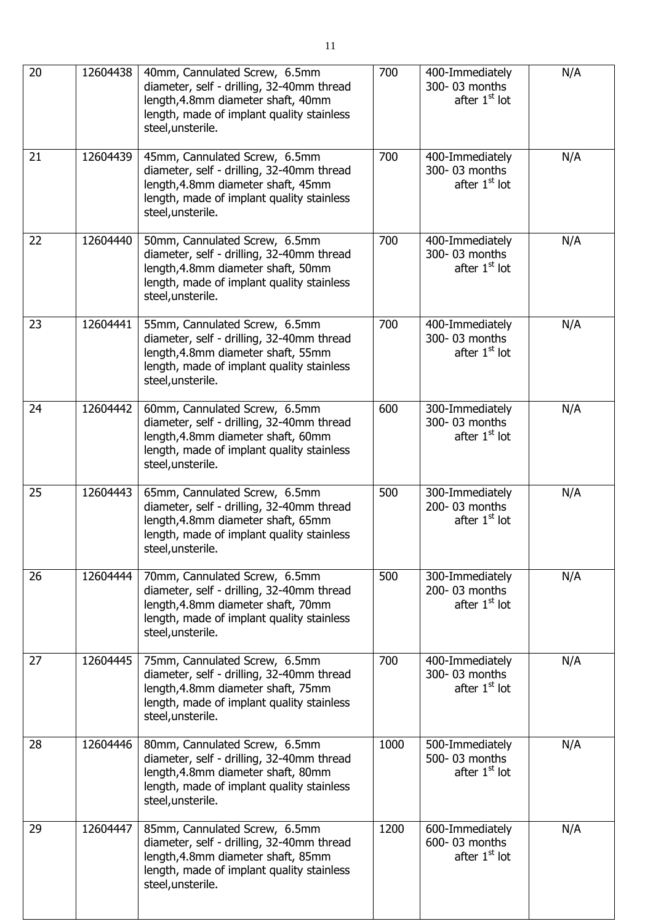| 20 | 12604438 | 40mm, Cannulated Screw, 6.5mm<br>diameter, self - drilling, 32-40mm thread<br>length, 4.8mm diameter shaft, 40mm<br>length, made of implant quality stainless<br>steel, unsterile. | 700  | 400-Immediately<br>300-03 months<br>after 1 <sup>st</sup> lot | N/A |
|----|----------|------------------------------------------------------------------------------------------------------------------------------------------------------------------------------------|------|---------------------------------------------------------------|-----|
| 21 | 12604439 | 45mm, Cannulated Screw, 6.5mm<br>diameter, self - drilling, 32-40mm thread<br>length, 4.8mm diameter shaft, 45mm<br>length, made of implant quality stainless<br>steel, unsterile. | 700  | 400-Immediately<br>300-03 months<br>after 1 <sup>st</sup> lot | N/A |
| 22 | 12604440 | 50mm, Cannulated Screw, 6.5mm<br>diameter, self - drilling, 32-40mm thread<br>length, 4.8mm diameter shaft, 50mm<br>length, made of implant quality stainless<br>steel, unsterile. | 700  | 400-Immediately<br>300-03 months<br>after 1 <sup>st</sup> lot | N/A |
| 23 | 12604441 | 55mm, Cannulated Screw, 6.5mm<br>diameter, self - drilling, 32-40mm thread<br>length, 4.8mm diameter shaft, 55mm<br>length, made of implant quality stainless<br>steel, unsterile. | 700  | 400-Immediately<br>300-03 months<br>after 1 <sup>st</sup> lot | N/A |
| 24 | 12604442 | 60mm, Cannulated Screw, 6.5mm<br>diameter, self - drilling, 32-40mm thread<br>length, 4.8mm diameter shaft, 60mm<br>length, made of implant quality stainless<br>steel, unsterile. | 600  | 300-Immediately<br>300-03 months<br>after 1 <sup>st</sup> lot | N/A |
| 25 | 12604443 | 65mm, Cannulated Screw, 6.5mm<br>diameter, self - drilling, 32-40mm thread<br>length, 4.8mm diameter shaft, 65mm<br>length, made of implant quality stainless<br>steel, unsterile. | 500  | 300-Immediately<br>200-03 months<br>after 1 <sup>st</sup> lot | N/A |
| 26 | 12604444 | 70mm, Cannulated Screw, 6.5mm<br>diameter, self - drilling, 32-40mm thread<br>length, 4.8mm diameter shaft, 70mm<br>length, made of implant quality stainless<br>steel, unsterile. | 500  | 300-Immediately<br>200-03 months<br>after 1 <sup>st</sup> lot | N/A |
| 27 | 12604445 | 75mm, Cannulated Screw, 6.5mm<br>diameter, self - drilling, 32-40mm thread<br>length, 4.8mm diameter shaft, 75mm<br>length, made of implant quality stainless<br>steel, unsterile. | 700  | 400-Immediately<br>300-03 months<br>after $1st$ lot           | N/A |
| 28 | 12604446 | 80mm, Cannulated Screw, 6.5mm<br>diameter, self - drilling, 32-40mm thread<br>length, 4.8mm diameter shaft, 80mm<br>length, made of implant quality stainless<br>steel, unsterile. | 1000 | 500-Immediately<br>500-03 months<br>after 1 <sup>st</sup> lot | N/A |
| 29 | 12604447 | 85mm, Cannulated Screw, 6.5mm<br>diameter, self - drilling, 32-40mm thread<br>length, 4.8mm diameter shaft, 85mm<br>length, made of implant quality stainless<br>steel, unsterile. | 1200 | 600-Immediately<br>600-03 months<br>after 1 <sup>st</sup> lot | N/A |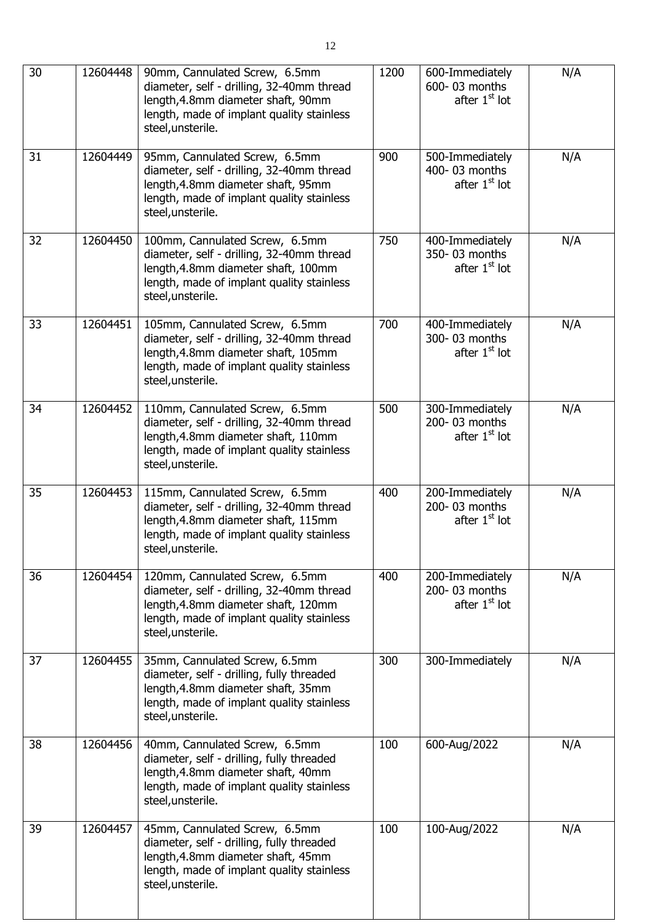| 30 | 12604448 | 90mm, Cannulated Screw, 6.5mm<br>diameter, self - drilling, 32-40mm thread<br>length, 4.8mm diameter shaft, 90mm<br>length, made of implant quality stainless<br>steel, unsterile.   | 1200 | 600-Immediately<br>600-03 months<br>after 1 <sup>st</sup> lot | N/A |
|----|----------|--------------------------------------------------------------------------------------------------------------------------------------------------------------------------------------|------|---------------------------------------------------------------|-----|
| 31 | 12604449 | 95mm, Cannulated Screw, 6.5mm<br>diameter, self - drilling, 32-40mm thread<br>length, 4.8mm diameter shaft, 95mm<br>length, made of implant quality stainless<br>steel, unsterile.   | 900  | 500-Immediately<br>400-03 months<br>after 1 <sup>st</sup> lot | N/A |
| 32 | 12604450 | 100mm, Cannulated Screw, 6.5mm<br>diameter, self - drilling, 32-40mm thread<br>length, 4.8mm diameter shaft, 100mm<br>length, made of implant quality stainless<br>steel, unsterile. | 750  | 400-Immediately<br>350-03 months<br>after 1 <sup>st</sup> lot | N/A |
| 33 | 12604451 | 105mm, Cannulated Screw, 6.5mm<br>diameter, self - drilling, 32-40mm thread<br>length, 4.8mm diameter shaft, 105mm<br>length, made of implant quality stainless<br>steel, unsterile. | 700  | 400-Immediately<br>300-03 months<br>after $1st$ lot           | N/A |
| 34 | 12604452 | 110mm, Cannulated Screw, 6.5mm<br>diameter, self - drilling, 32-40mm thread<br>length, 4.8mm diameter shaft, 110mm<br>length, made of implant quality stainless<br>steel, unsterile. | 500  | 300-Immediately<br>200-03 months<br>after 1 <sup>st</sup> lot | N/A |
| 35 | 12604453 | 115mm, Cannulated Screw, 6.5mm<br>diameter, self - drilling, 32-40mm thread<br>length, 4.8mm diameter shaft, 115mm<br>length, made of implant quality stainless<br>steel, unsterile. | 400  | 200-Immediately<br>200-03 months<br>after 1 <sup>st</sup> lot | N/A |
| 36 | 12604454 | 120mm, Cannulated Screw, 6.5mm<br>diameter, self - drilling, 32-40mm thread<br>length, 4.8mm diameter shaft, 120mm<br>length, made of implant quality stainless<br>steel, unsterile. | 400  | 200-Immediately<br>200-03 months<br>after 1 <sup>st</sup> lot | N/A |
| 37 | 12604455 | 35mm, Cannulated Screw, 6.5mm<br>diameter, self - drilling, fully threaded<br>length, 4.8mm diameter shaft, 35mm<br>length, made of implant quality stainless<br>steel, unsterile.   | 300  | 300-Immediately                                               | N/A |
| 38 | 12604456 | 40mm, Cannulated Screw, 6.5mm<br>diameter, self - drilling, fully threaded<br>length, 4.8mm diameter shaft, 40mm<br>length, made of implant quality stainless<br>steel, unsterile.   | 100  | 600-Aug/2022                                                  | N/A |
| 39 | 12604457 | 45mm, Cannulated Screw, 6.5mm<br>diameter, self - drilling, fully threaded<br>length, 4.8mm diameter shaft, 45mm<br>length, made of implant quality stainless<br>steel, unsterile.   | 100  | 100-Aug/2022                                                  | N/A |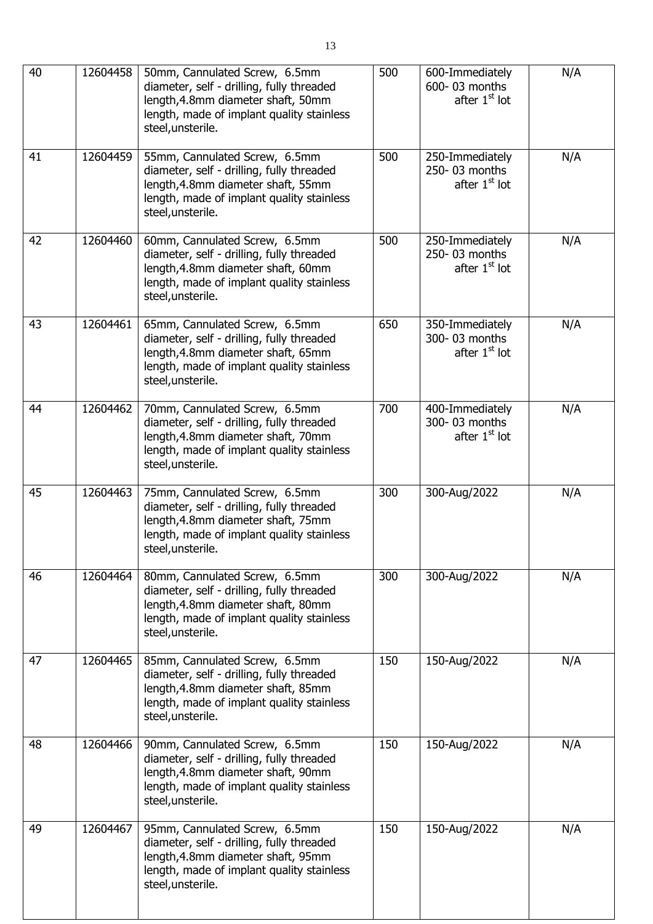| 40 | 12604458 | 50mm, Cannulated Screw, 6.5mm<br>diameter, self - drilling, fully threaded<br>length, 4.8mm diameter shaft, 50mm<br>length, made of implant quality stainless<br>steel, unsterile. | 500 | 600-Immediately<br>600-03 months<br>after 1 <sup>st</sup> lot | N/A |
|----|----------|------------------------------------------------------------------------------------------------------------------------------------------------------------------------------------|-----|---------------------------------------------------------------|-----|
| 41 | 12604459 | 55mm, Cannulated Screw, 6.5mm<br>diameter, self - drilling, fully threaded<br>length, 4.8mm diameter shaft, 55mm<br>length, made of implant quality stainless<br>steel, unsterile. | 500 | 250-Immediately<br>250-03 months<br>after 1 <sup>st</sup> lot | N/A |
| 42 | 12604460 | 60mm, Cannulated Screw, 6.5mm<br>diameter, self - drilling, fully threaded<br>length, 4.8mm diameter shaft, 60mm<br>length, made of implant quality stainless<br>steel, unsterile. | 500 | 250-Immediately<br>250-03 months<br>after 1 <sup>st</sup> lot | N/A |
| 43 | 12604461 | 65mm, Cannulated Screw, 6.5mm<br>diameter, self - drilling, fully threaded<br>length, 4.8mm diameter shaft, 65mm<br>length, made of implant quality stainless<br>steel, unsterile. | 650 | 350-Immediately<br>300-03 months<br>after $1st$ lot           | N/A |
| 44 | 12604462 | 70mm, Cannulated Screw, 6.5mm<br>diameter, self - drilling, fully threaded<br>length, 4.8mm diameter shaft, 70mm<br>length, made of implant quality stainless<br>steel, unsterile. | 700 | 400-Immediately<br>300-03 months<br>after 1 <sup>st</sup> lot | N/A |
| 45 | 12604463 | 75mm, Cannulated Screw, 6.5mm<br>diameter, self - drilling, fully threaded<br>length, 4.8mm diameter shaft, 75mm<br>length, made of implant quality stainless<br>steel, unsterile. | 300 | 300-Aug/2022                                                  | N/A |
| 46 | 12604464 | 80mm, Cannulated Screw, 6.5mm<br>diameter, self - drilling, fully threaded<br>length, 4.8mm diameter shaft, 80mm<br>length, made of implant quality stainless<br>steel, unsterile. | 300 | 300-Aug/2022                                                  | N/A |
| 47 | 12604465 | 85mm, Cannulated Screw, 6.5mm<br>diameter, self - drilling, fully threaded<br>length, 4.8mm diameter shaft, 85mm<br>length, made of implant quality stainless<br>steel, unsterile. | 150 | 150-Aug/2022                                                  | N/A |
| 48 | 12604466 | 90mm, Cannulated Screw, 6.5mm<br>diameter, self - drilling, fully threaded<br>length, 4.8mm diameter shaft, 90mm<br>length, made of implant quality stainless<br>steel, unsterile. | 150 | 150-Aug/2022                                                  | N/A |
| 49 | 12604467 | 95mm, Cannulated Screw, 6.5mm<br>diameter, self - drilling, fully threaded<br>length, 4.8mm diameter shaft, 95mm<br>length, made of implant quality stainless<br>steel, unsterile. | 150 | 150-Aug/2022                                                  | N/A |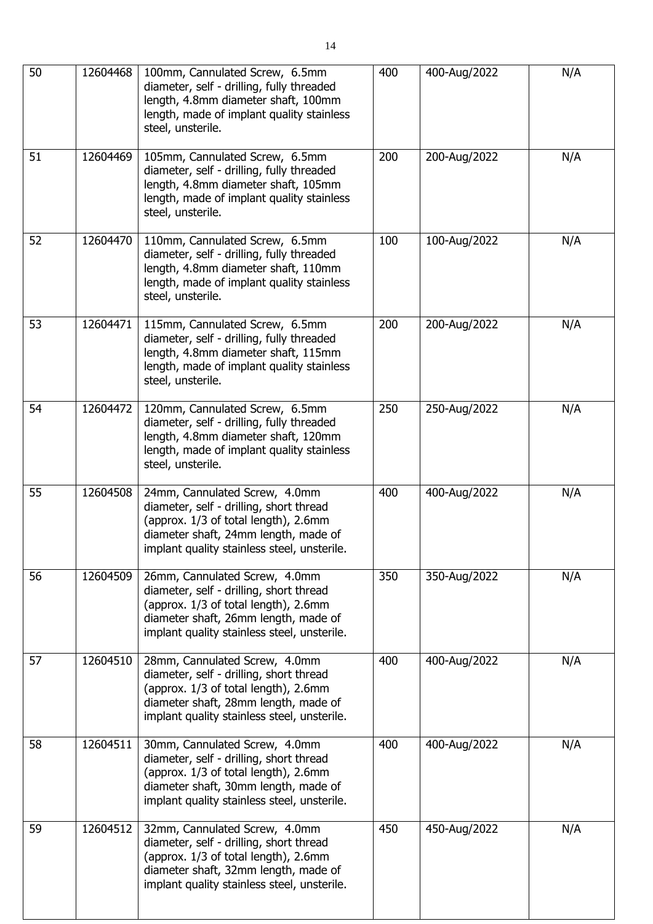| 50 | 12604468 | 100mm, Cannulated Screw, 6.5mm<br>diameter, self - drilling, fully threaded<br>length, 4.8mm diameter shaft, 100mm<br>length, made of implant quality stainless<br>steel, unsterile.                    | 400 | 400-Aug/2022 | N/A |
|----|----------|---------------------------------------------------------------------------------------------------------------------------------------------------------------------------------------------------------|-----|--------------|-----|
| 51 | 12604469 | 105mm, Cannulated Screw, 6.5mm<br>diameter, self - drilling, fully threaded<br>length, 4.8mm diameter shaft, 105mm<br>length, made of implant quality stainless<br>steel, unsterile.                    | 200 | 200-Aug/2022 | N/A |
| 52 | 12604470 | 110mm, Cannulated Screw, 6.5mm<br>diameter, self - drilling, fully threaded<br>length, 4.8mm diameter shaft, 110mm<br>length, made of implant quality stainless<br>steel, unsterile.                    | 100 | 100-Aug/2022 | N/A |
| 53 | 12604471 | 115mm, Cannulated Screw, 6.5mm<br>diameter, self - drilling, fully threaded<br>length, 4.8mm diameter shaft, 115mm<br>length, made of implant quality stainless<br>steel, unsterile.                    | 200 | 200-Aug/2022 | N/A |
| 54 | 12604472 | 120mm, Cannulated Screw, 6.5mm<br>diameter, self - drilling, fully threaded<br>length, 4.8mm diameter shaft, 120mm<br>length, made of implant quality stainless<br>steel, unsterile.                    | 250 | 250-Aug/2022 | N/A |
| 55 | 12604508 | 24mm, Cannulated Screw, 4.0mm<br>diameter, self - drilling, short thread<br>(approx. 1/3 of total length), 2.6mm<br>diameter shaft, 24mm length, made of<br>implant quality stainless steel, unsterile. | 400 | 400-Aug/2022 | N/A |
| 56 | 12604509 | 26mm, Cannulated Screw, 4.0mm<br>diameter, self - drilling, short thread<br>(approx. 1/3 of total length), 2.6mm<br>diameter shaft, 26mm length, made of<br>implant quality stainless steel, unsterile. | 350 | 350-Aug/2022 | N/A |
| 57 | 12604510 | 28mm, Cannulated Screw, 4.0mm<br>diameter, self - drilling, short thread<br>(approx. 1/3 of total length), 2.6mm<br>diameter shaft, 28mm length, made of<br>implant quality stainless steel, unsterile. | 400 | 400-Aug/2022 | N/A |
| 58 | 12604511 | 30mm, Cannulated Screw, 4.0mm<br>diameter, self - drilling, short thread<br>(approx. 1/3 of total length), 2.6mm<br>diameter shaft, 30mm length, made of<br>implant quality stainless steel, unsterile. | 400 | 400-Aug/2022 | N/A |
| 59 | 12604512 | 32mm, Cannulated Screw, 4.0mm<br>diameter, self - drilling, short thread<br>(approx. 1/3 of total length), 2.6mm<br>diameter shaft, 32mm length, made of<br>implant quality stainless steel, unsterile. | 450 | 450-Aug/2022 | N/A |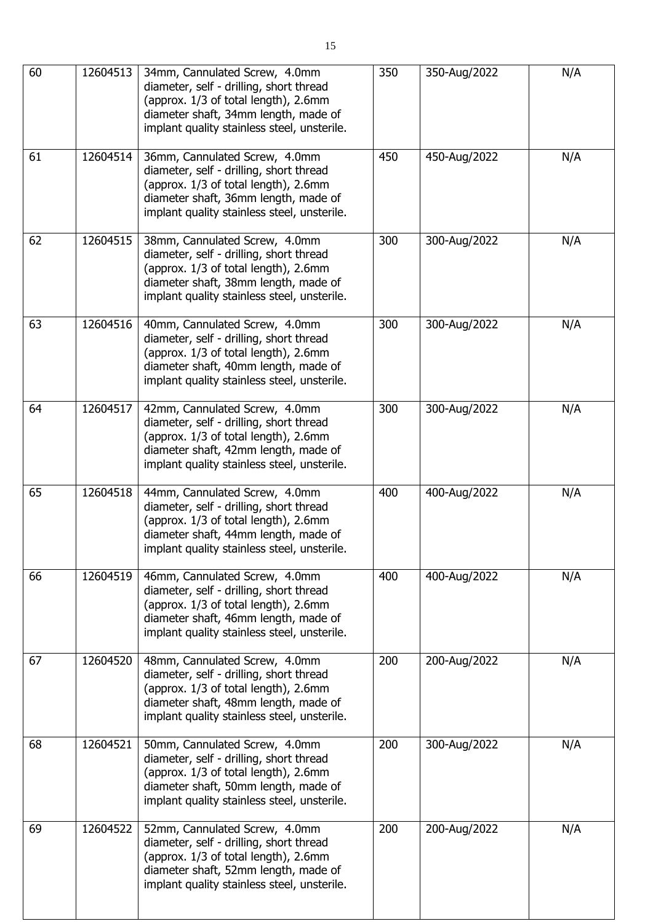| 60 | 12604513 | 34mm, Cannulated Screw, 4.0mm<br>diameter, self - drilling, short thread<br>(approx. 1/3 of total length), 2.6mm<br>diameter shaft, 34mm length, made of<br>implant quality stainless steel, unsterile. | 350 | 350-Aug/2022 | N/A |
|----|----------|---------------------------------------------------------------------------------------------------------------------------------------------------------------------------------------------------------|-----|--------------|-----|
| 61 | 12604514 | 36mm, Cannulated Screw, 4.0mm<br>diameter, self - drilling, short thread<br>(approx. 1/3 of total length), 2.6mm<br>diameter shaft, 36mm length, made of<br>implant quality stainless steel, unsterile. | 450 | 450-Aug/2022 | N/A |
| 62 | 12604515 | 38mm, Cannulated Screw, 4.0mm<br>diameter, self - drilling, short thread<br>(approx. 1/3 of total length), 2.6mm<br>diameter shaft, 38mm length, made of<br>implant quality stainless steel, unsterile. | 300 | 300-Aug/2022 | N/A |
| 63 | 12604516 | 40mm, Cannulated Screw, 4.0mm<br>diameter, self - drilling, short thread<br>(approx. 1/3 of total length), 2.6mm<br>diameter shaft, 40mm length, made of<br>implant quality stainless steel, unsterile. | 300 | 300-Aug/2022 | N/A |
| 64 | 12604517 | 42mm, Cannulated Screw, 4.0mm<br>diameter, self - drilling, short thread<br>(approx. 1/3 of total length), 2.6mm<br>diameter shaft, 42mm length, made of<br>implant quality stainless steel, unsterile. | 300 | 300-Aug/2022 | N/A |
| 65 | 12604518 | 44mm, Cannulated Screw, 4.0mm<br>diameter, self - drilling, short thread<br>(approx. 1/3 of total length), 2.6mm<br>diameter shaft, 44mm length, made of<br>implant quality stainless steel, unsterile. | 400 | 400-Aug/2022 | N/A |
| 66 | 12604519 | 46mm, Cannulated Screw, 4.0mm<br>diameter, self - drilling, short thread<br>(approx. 1/3 of total length), 2.6mm<br>diameter shaft, 46mm length, made of<br>implant quality stainless steel, unsterile. | 400 | 400-Aug/2022 | N/A |
| 67 | 12604520 | 48mm, Cannulated Screw, 4.0mm<br>diameter, self - drilling, short thread<br>(approx. 1/3 of total length), 2.6mm<br>diameter shaft, 48mm length, made of<br>implant quality stainless steel, unsterile. | 200 | 200-Aug/2022 | N/A |
| 68 | 12604521 | 50mm, Cannulated Screw, 4.0mm<br>diameter, self - drilling, short thread<br>(approx. 1/3 of total length), 2.6mm<br>diameter shaft, 50mm length, made of<br>implant quality stainless steel, unsterile. | 200 | 300-Aug/2022 | N/A |
| 69 | 12604522 | 52mm, Cannulated Screw, 4.0mm<br>diameter, self - drilling, short thread<br>(approx. 1/3 of total length), 2.6mm<br>diameter shaft, 52mm length, made of<br>implant quality stainless steel, unsterile. | 200 | 200-Aug/2022 | N/A |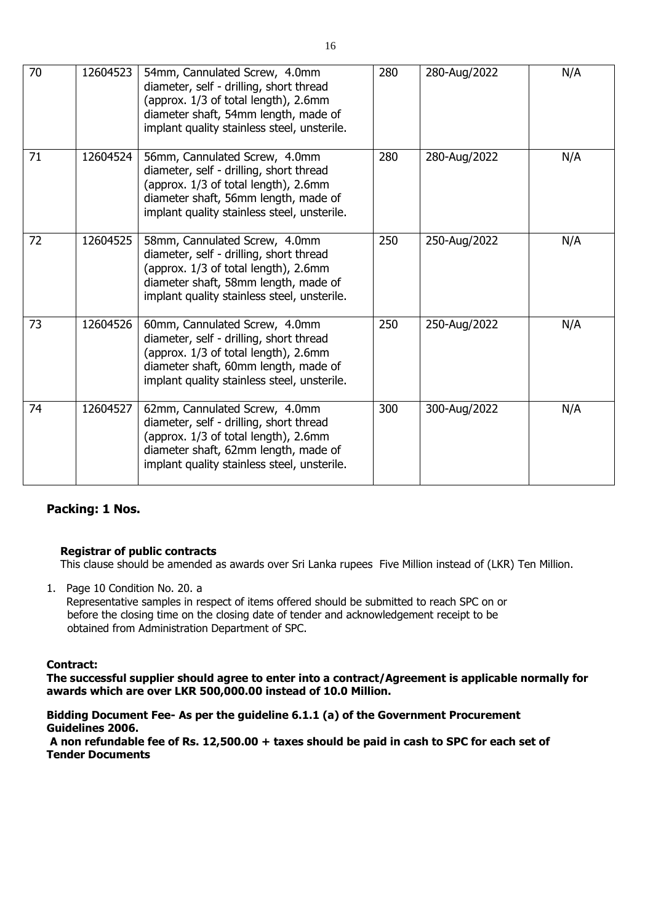| 70 | 12604523 | 54mm, Cannulated Screw, 4.0mm<br>diameter, self - drilling, short thread<br>(approx. 1/3 of total length), 2.6mm<br>diameter shaft, 54mm length, made of<br>implant quality stainless steel, unsterile. | 280 | 280-Aug/2022 | N/A |
|----|----------|---------------------------------------------------------------------------------------------------------------------------------------------------------------------------------------------------------|-----|--------------|-----|
| 71 | 12604524 | 56mm, Cannulated Screw, 4.0mm<br>diameter, self - drilling, short thread<br>(approx. 1/3 of total length), 2.6mm<br>diameter shaft, 56mm length, made of<br>implant quality stainless steel, unsterile. | 280 | 280-Aug/2022 | N/A |
| 72 | 12604525 | 58mm, Cannulated Screw, 4.0mm<br>diameter, self - drilling, short thread<br>(approx. 1/3 of total length), 2.6mm<br>diameter shaft, 58mm length, made of<br>implant quality stainless steel, unsterile. | 250 | 250-Aug/2022 | N/A |
| 73 | 12604526 | 60mm, Cannulated Screw, 4.0mm<br>diameter, self - drilling, short thread<br>(approx. 1/3 of total length), 2.6mm<br>diameter shaft, 60mm length, made of<br>implant quality stainless steel, unsterile. | 250 | 250-Aug/2022 | N/A |
| 74 | 12604527 | 62mm, Cannulated Screw, 4.0mm<br>diameter, self - drilling, short thread<br>(approx. 1/3 of total length), 2.6mm<br>diameter shaft, 62mm length, made of<br>implant quality stainless steel, unsterile. | 300 | 300-Aug/2022 | N/A |

### **Packing: 1 Nos.**

#### **Registrar of public contracts**

This clause should be amended as awards over Sri Lanka rupees Five Million instead of (LKR) Ten Million.

1. Page 10 Condition No. 20. a Representative samples in respect of items offered should be submitted to reach SPC on or before the closing time on the closing date of tender and acknowledgement receipt to be obtained from Administration Department of SPC.

#### **Contract:**

**The successful supplier should agree to enter into a contract/Agreement is applicable normally for awards which are over LKR 500,000.00 instead of 10.0 Million.**

#### **Bidding Document Fee- As per the guideline 6.1.1 (a) of the Government Procurement Guidelines 2006.**

**A non refundable fee of Rs. 12,500.00 + taxes should be paid in cash to SPC for each set of Tender Documents**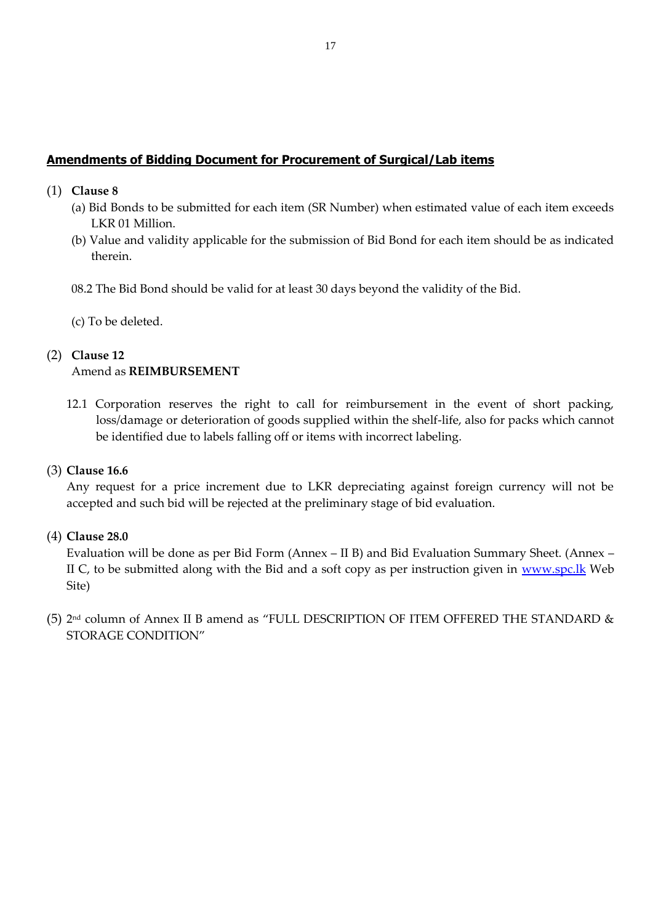## **Amendments of Bidding Document for Procurement of Surgical/Lab items**

- (1) **Clause 8**
	- (a) Bid Bonds to be submitted for each item (SR Number) when estimated value of each item exceeds LKR 01 Million.
	- (b) Value and validity applicable for the submission of Bid Bond for each item should be as indicated therein.

08.2 The Bid Bond should be valid for at least 30 days beyond the validity of the Bid.

(c) To be deleted.

# (2) **Clause 12** Amend as **REIMBURSEMENT**

12.1 Corporation reserves the right to call for reimbursement in the event of short packing, loss/damage or deterioration of goods supplied within the shelf-life, also for packs which cannot be identified due to labels falling off or items with incorrect labeling.

### (3) **Clause 16.6**

Any request for a price increment due to LKR depreciating against foreign currency will not be accepted and such bid will be rejected at the preliminary stage of bid evaluation.

### (4) **Clause 28.0**

Evaluation will be done as per Bid Form (Annex – II B) and Bid Evaluation Summary Sheet. (Annex – II C, to be submitted along with the Bid and a soft copy as per instruction given in [www.spc.lk](http://www.spc.lk/) Web Site)

(5) 2 nd column of Annex II B amend as "FULL DESCRIPTION OF ITEM OFFERED THE STANDARD & STORAGE CONDITION"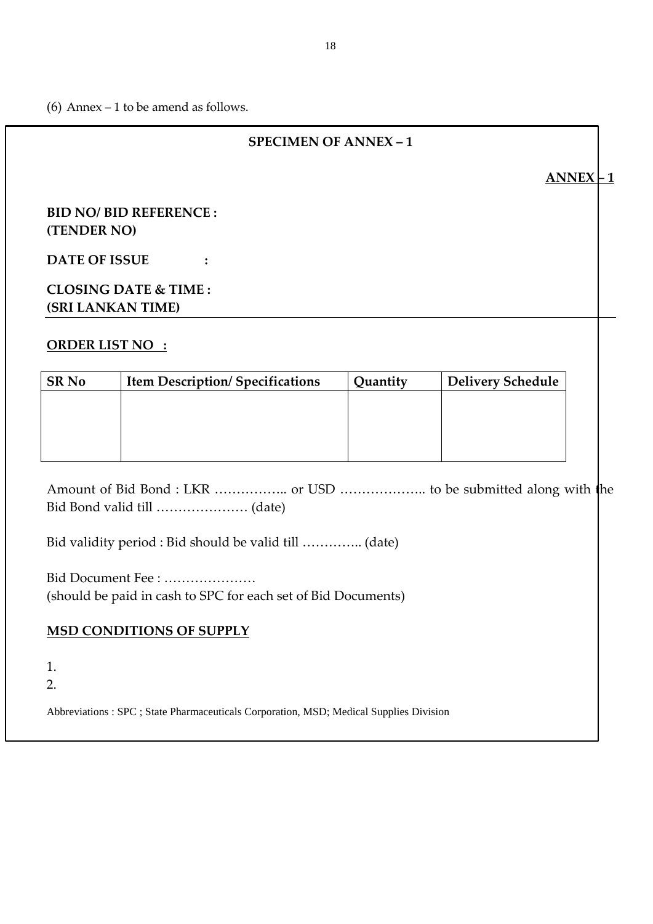(6) Annex  $-1$  to be amend as follows.

# **SPECIMEN OF ANNEX – 1**

 $ANNEX$   $\mid$  1

# **BID NO/ BID REFERENCE : (TENDER NO)**

**DATE OF ISSUE :**

# **CLOSING DATE & TIME : (SRI LANKAN TIME)**

# **ORDER LIST NO :**

| <b>SR No</b> | <b>Item Description/Specifications</b> | Quantity | <b>Delivery Schedule</b> |
|--------------|----------------------------------------|----------|--------------------------|
|              |                                        |          |                          |
|              |                                        |          |                          |
|              |                                        |          |                          |
|              |                                        |          |                          |

Amount of Bid Bond : LKR …………….. or USD ……………….. to be submitted along with the Bid Bond valid till ………………… (date)

Bid validity period : Bid should be valid till ………….. (date)

Bid Document Fee : ………………… (should be paid in cash to SPC for each set of Bid Documents)

# **MSD CONDITIONS OF SUPPLY**

1.

2.

Abbreviations : SPC ; State Pharmaceuticals Corporation, MSD; Medical Supplies Division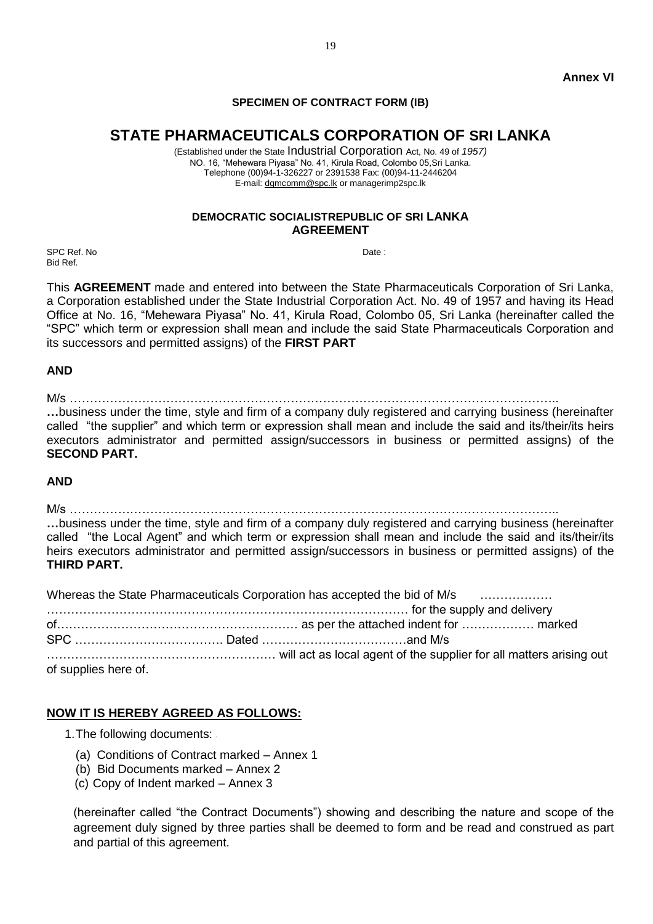#### **SPECIMEN OF CONTRACT FORM (IB)**

# **STATE PHARMACEUTICALS CORPORATION OF SRI LANKA**

(Established under the State Industrial Corporation Act, No. 49 of *1957)* NO. 16, "Mehewara Piyasa" No. 41, Kirula Road, Colombo 05,Sri Lanka. Telephone (00)94-1-326227 or 2391538 Fax: (00)94-11-2446204 E-mail[: dgmcomm@spc.lk](mailto:dgmcomm@spc.lk) or managerimp2spc.lk

#### **DEMOCRATIC SOCIALISTREPUBLIC OF SRI LANKA AGREEMENT**

SPC Ref. No Date : No Date : No Date : No Date : No Date : No Date : No Date : No Date : No Date : No Date : No Date : No Date : No Date : No Date : No Date : No Date : No Date : No Date : No Date : No Date : No Date : No Bid Ref.

This **AGREEMENT** made and entered into between the State Pharmaceuticals Corporation of Sri Lanka, a Corporation established under the State Industrial Corporation Act. No. 49 of 1957 and having its Head Office at No. 16, "Mehewara Piyasa" No. 41, Kirula Road, Colombo 05, Sri Lanka (hereinafter called the "SPC" which term or expression shall mean and include the said State Pharmaceuticals Corporation and its successors and permitted assigns) of the **FIRST PART**

#### **AND**

M/s …………………………………………………………………………………………………………..

**…**business under the time, style and firm of a company duly registered and carrying business (hereinafter called "the supplier" and which term or expression shall mean and include the said and its/their/its heirs executors administrator and permitted assign/successors in business or permitted assigns) of the **SECOND PART.**

#### **AND**

M/s …………………………………………………………………………………………………………..

**…**business under the time, style and firm of a company duly registered and carrying business (hereinafter called "the Local Agent" and which term or expression shall mean and include the said and its/their/its heirs executors administrator and permitted assign/successors in business or permitted assigns) of the **THIRD PART.**

|                      | Whereas the State Pharmaceuticals Corporation has accepted the bid of M/s |  |
|----------------------|---------------------------------------------------------------------------|--|
|                      |                                                                           |  |
|                      |                                                                           |  |
|                      |                                                                           |  |
|                      |                                                                           |  |
| of supplies here of. |                                                                           |  |

#### **NOW IT IS HEREBY AGREED AS FOLLOWS:**

- 1.The following documents:
	- (a) Conditions of Contract marked Annex 1
	- (b) Bid Documents marked Annex 2
	- (c) Copy of Indent marked Annex 3

(hereinafter called "the Contract Documents") showing and describing the nature and scope of the agreement duly signed by three parties shall be deemed to form and be read and construed as part and partial of this agreement.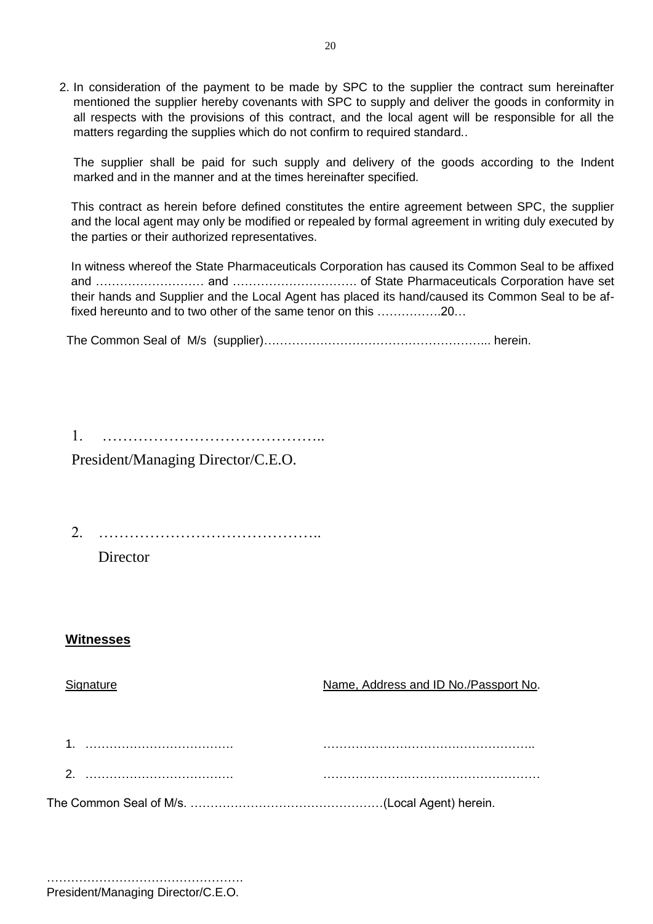2. In consideration of the payment to be made by SPC to the supplier the contract sum hereinafter mentioned the supplier hereby covenants with SPC to supply and deliver the goods in conformity in all respects with the provisions of this contract, and the local agent will be responsible for all the matters regarding the supplies which do not confirm to required standard..

The supplier shall be paid for such supply and delivery of the goods according to the Indent marked and in the manner and at the times hereinafter specified.

This contract as herein before defined constitutes the entire agreement between SPC, the supplier and the local agent may only be modified or repealed by formal agreement in writing duly executed by the parties or their authorized representatives.

In witness whereof the State Pharmaceuticals Corporation has caused its Common Seal to be affixed and ……………………… and …………………………. of State Pharmaceuticals Corporation have set their hands and Supplier and the Local Agent has placed its hand/caused its Common Seal to be affixed hereunto and to two other of the same tenor on this …………….20…

The Common Seal of M/s (supplier)………………………………………………... herein.

1. …………………………………….. President/Managing Director/C.E.O.

2. ……………………………………..

**Director** 

# **Witnesses**

Signature Name, Address and ID No./Passport No. 1. ………………………………. …………………………………………….. 2. ………………………………. ……………………………………………… The Common Seal of M/s. …………………………………………(Local Agent) herein.

President/Managing Director/C.E.O.

………………………………………………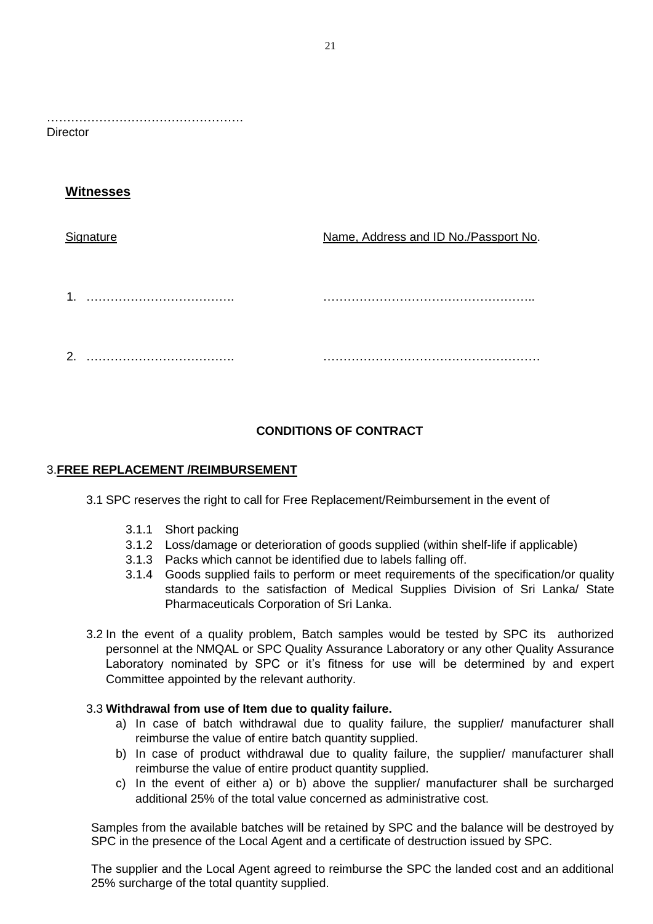…………………………………………. **Director** 

# **Witnesses**

## Signature Name, Address and ID No./Passport No.

1. ………………………………. …………………………………………….. 2. ………………………………. ………………………………………………

# **CONDITIONS OF CONTRACT**

## 3.**FREE REPLACEMENT /REIMBURSEMENT**

3.1 SPC reserves the right to call for Free Replacement/Reimbursement in the event of

- 3.1.1 Short packing
- 3.1.2 Loss/damage or deterioration of goods supplied (within shelf-life if applicable)
- 3.1.3 Packs which cannot be identified due to labels falling off.
- 3.1.4 Goods supplied fails to perform or meet requirements of the specification/or quality standards to the satisfaction of Medical Supplies Division of Sri Lanka/ State Pharmaceuticals Corporation of Sri Lanka.
- 3.2 In the event of a quality problem, Batch samples would be tested by SPC its authorized personnel at the NMQAL or SPC Quality Assurance Laboratory or any other Quality Assurance Laboratory nominated by SPC or it's fitness for use will be determined by and expert Committee appointed by the relevant authority.

### 3.3 **Withdrawal from use of Item due to quality failure.**

- a) In case of batch withdrawal due to quality failure, the supplier/ manufacturer shall reimburse the value of entire batch quantity supplied.
- b) In case of product withdrawal due to quality failure, the supplier/ manufacturer shall reimburse the value of entire product quantity supplied.
- c) In the event of either a) or b) above the supplier/ manufacturer shall be surcharged additional 25% of the total value concerned as administrative cost.

Samples from the available batches will be retained by SPC and the balance will be destroyed by SPC in the presence of the Local Agent and a certificate of destruction issued by SPC.

The supplier and the Local Agent agreed to reimburse the SPC the landed cost and an additional 25% surcharge of the total quantity supplied.